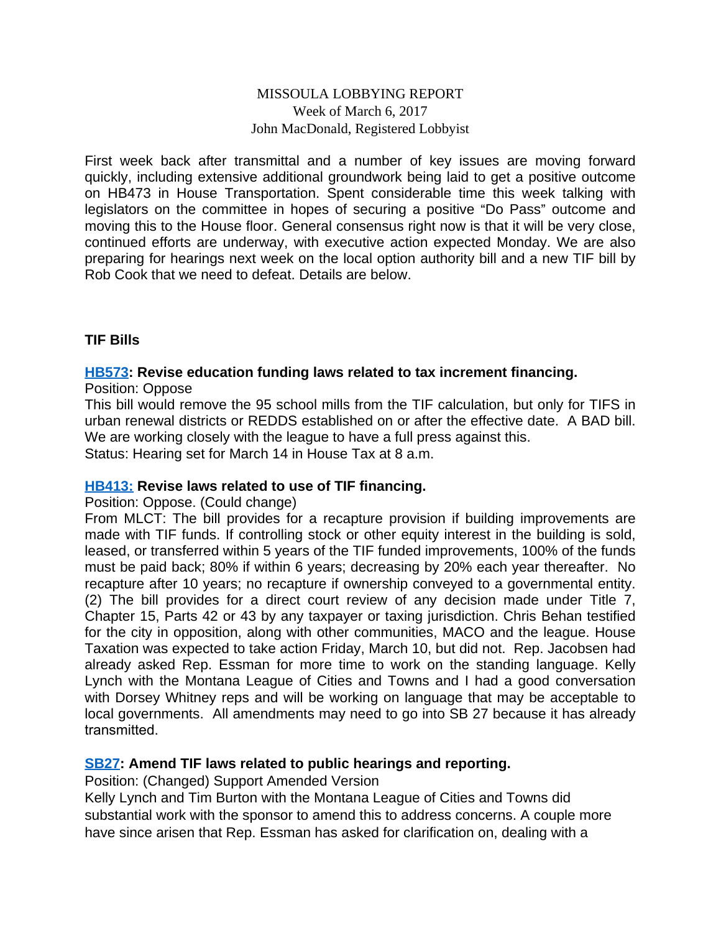#### MISSOULA LOBBYING REPORT Week of March 6, 2017 John MacDonald, Registered Lobbyist

First week back after transmittal and a number of key issues are moving forward quickly, including extensive additional groundwork being laid to get a positive outcome on HB473 in House Transportation. Spent considerable time this week talking with legislators on the committee in hopes of securing a positive "Do Pass" outcome and moving this to the House floor. General consensus right now is that it will be very close, continued efforts are underway, with executive action expected Monday. We are also preparing for hearings next week on the local option authority bill and a new TIF bill by Rob Cook that we need to defeat. Details are below.

#### **TIF Bills**

# **[HB573](http://laws.leg.mt.gov/legprd/LAW0210W$BSIV.ActionQuery?P_BILL_NO1=573&P_BLTP_BILL_TYP_CD=HB&Z_ACTION=Find&P_SESS=20171): Revise education funding laws related to tax increment financing.**

Position: Oppose

This bill would remove the 95 school mills from the TIF calculation, but only for TIFS in urban renewal districts or REDDS established on or after the effective date. A BAD bill. We are working closely with the league to have a full press against this.

Status: Hearing set for March 14 in House Tax at 8 a.m.

#### **[HB413:](http://laws.leg.mt.gov/legprd/LAW0210W$BSIV.ActionQuery?P_BILL_NO1=413&P_BLTP_BILL_TYP_CD=HB&Z_ACTION=Find&P_SESS=20171) Revise laws related to use of TIF financing.**

Position: Oppose. (Could change)

From MLCT: The bill provides for a recapture provision if building improvements are made with TIF funds. If controlling stock or other equity interest in the building is sold, leased, or transferred within 5 years of the TIF funded improvements, 100% of the funds must be paid back; 80% if within 6 years; decreasing by 20% each year thereafter. No recapture after 10 years; no recapture if ownership conveyed to a governmental entity. (2) The bill provides for a direct court review of any decision made under Title 7, Chapter 15, Parts 42 or 43 by any taxpayer or taxing jurisdiction. Chris Behan testified for the city in opposition, along with other communities, MACO and the league. House Taxation was expected to take action Friday, March 10, but did not. Rep. Jacobsen had already asked Rep. Essman for more time to work on the standing language. Kelly Lynch with the Montana League of Cities and Towns and I had a good conversation with Dorsey Whitney reps and will be working on language that may be acceptable to local governments. All amendments may need to go into SB 27 because it has already transmitted.

#### **[SB27](http://laws.leg.mt.gov/legprd/LAW0210W$BSIV.ActionQuery?P_BILL_NO1=27&P_BLTP_BILL_TYP_CD=SB&Z_ACTION=Find&P_SESS=20171): Amend TIF laws related to public hearings and reporting.**

Position: (Changed) Support Amended Version

Kelly Lynch and Tim Burton with the Montana League of Cities and Towns did substantial work with the sponsor to amend this to address concerns. A couple more have since arisen that Rep. Essman has asked for clarification on, dealing with a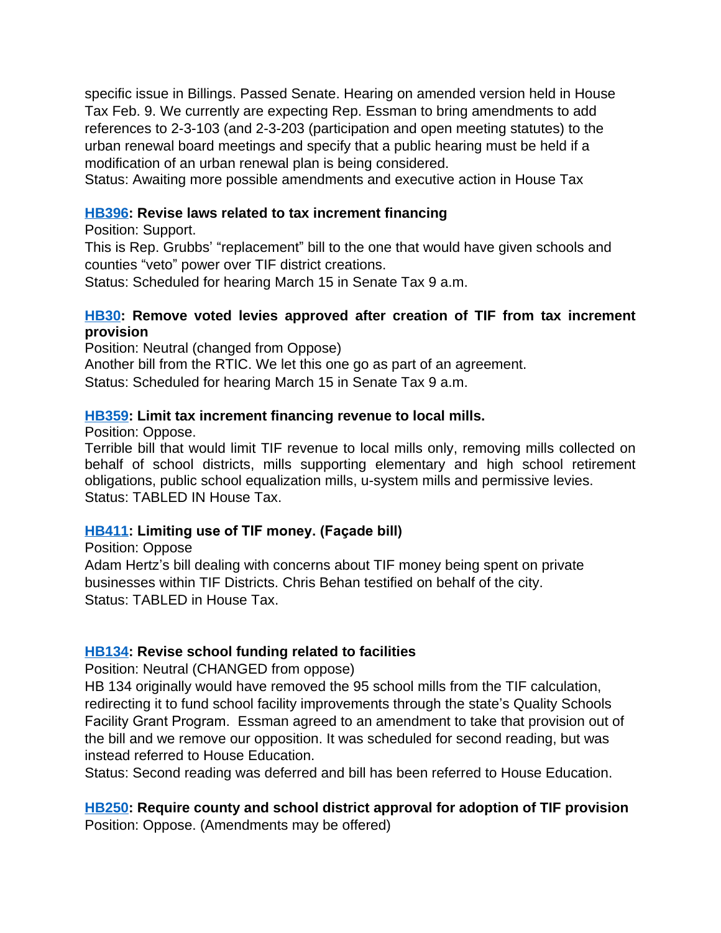specific issue in Billings. Passed Senate. Hearing on amended version held in House Tax Feb. 9. We currently are expecting Rep. Essman to bring amendments to add references to 2-3-103 (and 2-3-203 (participation and open meeting statutes) to the urban renewal board meetings and specify that a public hearing must be held if a modification of an urban renewal plan is being considered.

Status: Awaiting more possible amendments and executive action in House Tax

#### **[HB396](http://laws.leg.mt.gov/legprd/LAW0210W$BSIV.ActionQuery?P_BILL_NO1=396&P_BLTP_BILL_TYP_CD=HB&Z_ACTION=Find&P_SESS=20171): Revise laws related to tax increment financing**

Position: Support.

This is Rep. Grubbs' "replacement" bill to the one that would have given schools and counties "veto" power over TIF district creations.

Status: Scheduled for hearing March 15 in Senate Tax 9 a.m.

#### **[HB30:](http://laws.leg.mt.gov/legprd/LAW0210W$BSIV.ActionQuery?P_BILL_NO1=30&P_BLTP_BILL_TYP_CD=HB&Z_ACTION=Find&P_SESS=20171) Remove voted levies approved after creation of TIF from tax increment provision**

Position: Neutral (changed from Oppose)

Another bill from the RTIC. We let this one go as part of an agreement.

Status: Scheduled for hearing March 15 in Senate Tax 9 a.m.

#### **[HB359](http://laws.leg.mt.gov/legprd/LAW0210W$BSIV.ActionQuery?P_BILL_NO1=359&P_BLTP_BILL_TYP_CD=HB&Z_ACTION=Find&P_SESS=20171): Limit tax increment financing revenue to local mills.**

Position: Oppose.

Terrible bill that would limit TIF revenue to local mills only, removing mills collected on behalf of school districts, mills supporting elementary and high school retirement obligations, public school equalization mills, u-system mills and permissive levies. Status: TABLED IN House Tax.

# **[HB411](http://laws.leg.mt.gov/legprd/LAW0210W$BSIV.ActionQuery?P_BILL_NO1=411&P_BLTP_BILL_TYP_CD=HB&Z_ACTION=Find&P_SESS=20171): Limiting use of TIF money. (Façade bill)**

Position: Oppose

Adam Hertz's bill dealing with concerns about TIF money being spent on private businesses within TIF Districts. Chris Behan testified on behalf of the city. Status: TABLED in House Tax.

# **[HB134](http://laws.leg.mt.gov/legprd/LAW0210W$BSIV.ActionQuery?P_BILL_NO1=134&P_BLTP_BILL_TYP_CD=HB&Z_ACTION=Find&P_SESS=20171): Revise school funding related to facilities**

Position: Neutral (CHANGED from oppose)

HB 134 originally would have removed the 95 school mills from the TIF calculation, redirecting it to fund school facility improvements through the state's Quality Schools Facility Grant Program. Essman agreed to an amendment to take that provision out of the bill and we remove our opposition. It was scheduled for second reading, but was instead referred to House Education.

Status: Second reading was deferred and bill has been referred to House Education.

**[HB250](http://laws.leg.mt.gov/legprd/LAW0210W$BSIV.ActionQuery?P_BILL_NO1=250&P_BLTP_BILL_TYP_CD=HB&Z_ACTION=Find&P_SESS=20171): Require county and school district approval for adoption of TIF provision** Position: Oppose. (Amendments may be offered)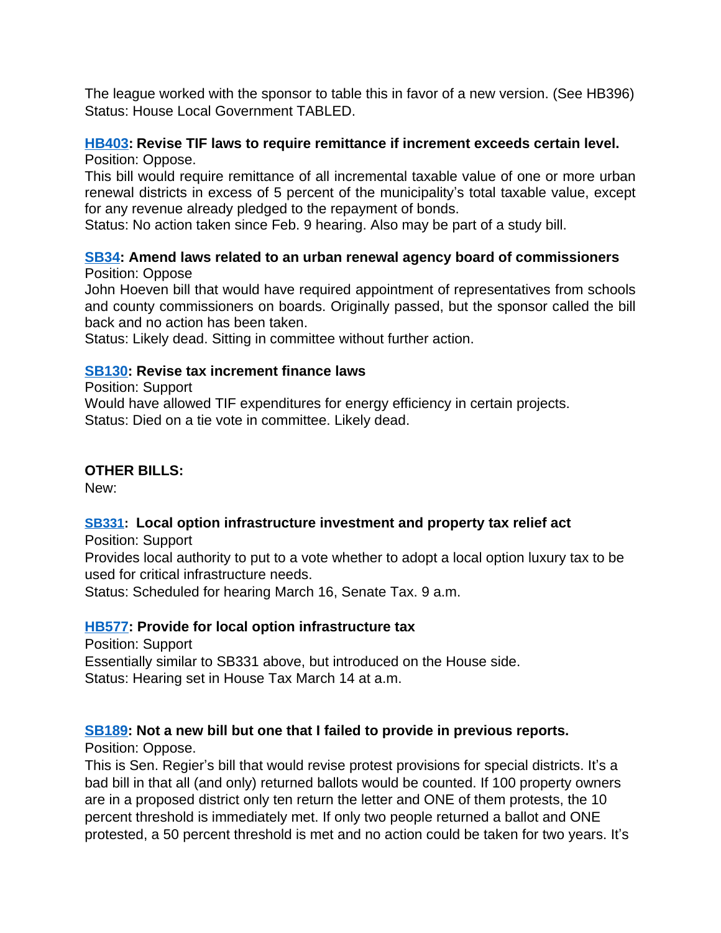The league worked with the sponsor to table this in favor of a new version. (See HB396) Status: House Local Government TABLED.

#### **[HB403](http://laws.leg.mt.gov/legprd/LAW0210W$BSIV.ActionQuery?P_BILL_NO1=403&P_BLTP_BILL_TYP_CD=HB&Z_ACTION=Find&P_SESS=20171): Revise TIF laws to require remittance if increment exceeds certain level.** Position: Oppose.

This bill would require remittance of all incremental taxable value of one or more urban renewal districts in excess of 5 percent of the municipality's total taxable value, except for any revenue already pledged to the repayment of bonds.

Status: No action taken since Feb. 9 hearing. Also may be part of a study bill.

#### **[SB34](http://laws.leg.mt.gov/legprd/LAW0210W$BSIV.ActionQuery?P_BILL_NO1=34&P_BLTP_BILL_TYP_CD=SB&Z_ACTION=Find&P_SESS=20171): Amend laws related to an urban renewal agency board of commissioners** Position: Oppose

John Hoeven bill that would have required appointment of representatives from schools and county commissioners on boards. Originally passed, but the sponsor called the bill back and no action has been taken.

Status: Likely dead. Sitting in committee without further action.

# **[SB130:](http://laws.leg.mt.gov/legprd/LAW0210W$BSIV.ActionQuery?P_BILL_NO1=130&P_BLTP_BILL_TYP_CD=SB&Z_ACTION=Find&P_SESS=20171) Revise tax increment finance laws**

Position: Support

Would have allowed TIF expenditures for energy efficiency in certain projects. Status: Died on a tie vote in committee. Likely dead.

# **OTHER BILLS:**

New:

# **[SB331:](http://laws.leg.mt.gov/legprd/LAW0210W$BSIV.ActionQuery?P_BILL_NO1=331&P_BLTP_BILL_TYP_CD=SB&Z_ACTION=Find&P_SESS=20171) Local option infrastructure investment and property tax relief act**

Position: Support Provides local authority to put to a vote whether to adopt a local option luxury tax to be used for critical infrastructure needs.

Status: Scheduled for hearing March 16, Senate Tax. 9 a.m.

# **[HB577](http://laws.leg.mt.gov/legprd/LAW0210W$BSIV.ActionQuery?P_BILL_NO1=577&P_BLTP_BILL_TYP_CD=HB&Z_ACTION=Find&P_SESS=20171): Provide for local option infrastructure tax**

Position: Support Essentially similar to SB331 above, but introduced on the House side. Status: Hearing set in House Tax March 14 at a.m.

# **[SB189:](http://laws.leg.mt.gov/legprd/LAW0210W$BSIV.ActionQuery?P_BILL_NO1=189&P_BLTP_BILL_TYP_CD=SB&Z_ACTION=Find&P_SESS=20171) Not a new bill but one that I failed to provide in previous reports.**

Position: Oppose.

This is Sen. Regier's bill that would revise protest provisions for special districts. It's a bad bill in that all (and only) returned ballots would be counted. If 100 property owners are in a proposed district only ten return the letter and ONE of them protests, the 10 percent threshold is immediately met. If only two people returned a ballot and ONE protested, a 50 percent threshold is met and no action could be taken for two years. It's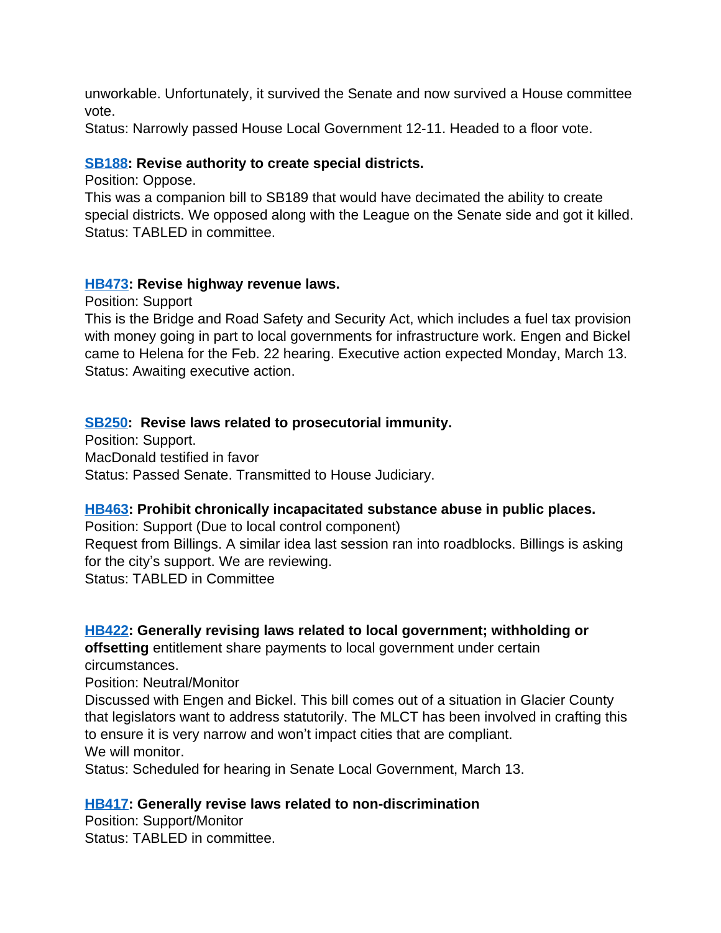unworkable. Unfortunately, it survived the Senate and now survived a House committee vote.

Status: Narrowly passed House Local Government 12-11. Headed to a floor vote.

#### **[SB188:](http://laws.leg.mt.gov/legprd/LAW0210W$BSIV.ActionQuery?P_BILL_NO1=188&P_BLTP_BILL_TYP_CD=SB&Z_ACTION=Find&P_SESS=20171) Revise authority to create special districts.**

Position: Oppose.

This was a companion bill to SB189 that would have decimated the ability to create special districts. We opposed along with the League on the Senate side and got it killed. Status: TABLED in committee.

#### **[HB473](http://laws.leg.mt.gov/legprd/LAW0210W$BSIV.ActionQuery?P_BILL_NO1=473&P_BLTP_BILL_TYP_CD=HB&Z_ACTION=Find&P_SESS=20171): Revise highway revenue laws.**

Position: Support

This is the Bridge and Road Safety and Security Act, which includes a fuel tax provision with money going in part to local governments for infrastructure work. Engen and Bickel came to Helena for the Feb. 22 hearing. Executive action expected Monday, March 13. Status: Awaiting executive action.

# **[SB250:](http://laws.leg.mt.gov/legprd/LAW0210W$BSIV.ActionQuery?P_BILL_NO1=250&P_BLTP_BILL_TYP_CD=SB&Z_ACTION=Find&P_SESS=20171) Revise laws related to prosecutorial immunity.**

Position: Support. MacDonald testified in favor Status: Passed Senate. Transmitted to House Judiciary.

# **[HB463](http://laws.leg.mt.gov/legprd/LAW0210W$BSIV.ActionQuery?P_BILL_NO1=463&P_BLTP_BILL_TYP_CD=HB&Z_ACTION=Find&P_SESS=20171): Prohibit chronically incapacitated substance abuse in public places.**

Position: Support (Due to local control component) Request from Billings. A similar idea last session ran into roadblocks. Billings is asking for the city's support. We are reviewing. Status: TABLED in Committee

# **[HB422](http://laws.leg.mt.gov/legprd/LAW0210W$BSIV.ActionQuery?P_BILL_NO1=422&P_BLTP_BILL_TYP_CD=HB&Z_ACTION=Find&P_SESS=20171): Generally revising laws related to local government; withholding or**

**offsetting** entitlement share payments to local government under certain circumstances.

Position: Neutral/Monitor

Discussed with Engen and Bickel. This bill comes out of a situation in Glacier County that legislators want to address statutorily. The MLCT has been involved in crafting this to ensure it is very narrow and won't impact cities that are compliant. We will monitor.

Status: Scheduled for hearing in Senate Local Government, March 13.

# **[HB417](http://laws.leg.mt.gov/legprd/LAW0210W$BSIV.ActionQuery?P_BILL_NO1=417&P_BLTP_BILL_TYP_CD=HB&Z_ACTION=Find&P_SESS=20171): Generally revise laws related to non-discrimination**

Position: Support/Monitor Status: TABLED in committee.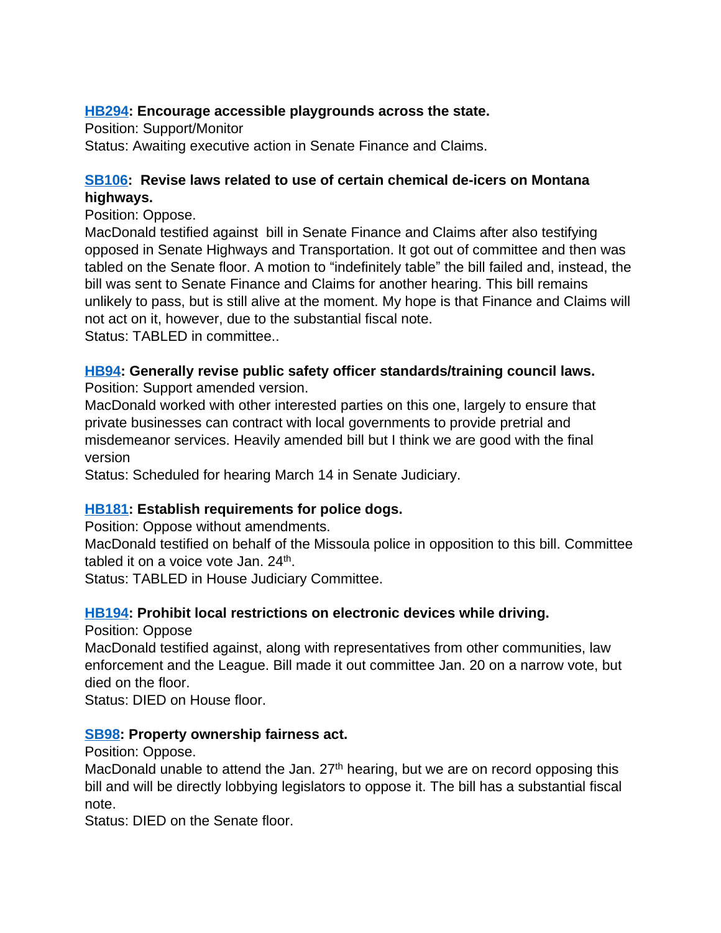# **[HB294](http://laws.leg.mt.gov/legprd/LAW0210W$BSIV.ActionQuery?P_BILL_NO1=294&P_BLTP_BILL_TYP_CD=HB&Z_ACTION=Find&P_SESS=20171): Encourage accessible playgrounds across the state.**

Position: Support/Monitor Status: Awaiting executive action in Senate Finance and Claims.

# **[SB106:](http://laws.leg.mt.gov/legprd/LAW0210W$BSIV.ActionQuery?P_BILL_NO1=106&P_BLTP_BILL_TYP_CD=SB&Z_ACTION=Find&P_SESS=20171) Revise laws related to use of certain chemical de-icers on Montana highways.**

Position: Oppose.

MacDonald testified against bill in Senate Finance and Claims after also testifying opposed in Senate Highways and Transportation. It got out of committee and then was tabled on the Senate floor. A motion to "indefinitely table" the bill failed and, instead, the bill was sent to Senate Finance and Claims for another hearing. This bill remains unlikely to pass, but is still alive at the moment. My hope is that Finance and Claims will not act on it, however, due to the substantial fiscal note. Status: TABLED in committee..

# **[HB94:](http://laws.leg.mt.gov/legprd/LAW0210W$BSIV.ActionQuery?P_BILL_NO1=94&P_BLTP_BILL_TYP_CD=HB&Z_ACTION=Find&P_SESS=20171) Generally revise public safety officer standards/training council laws.**

Position: Support amended version.

MacDonald worked with other interested parties on this one, largely to ensure that private businesses can contract with local governments to provide pretrial and misdemeanor services. Heavily amended bill but I think we are good with the final version

Status: Scheduled for hearing March 14 in Senate Judiciary.

# **[HB181](http://laws.leg.mt.gov/legprd/LAW0210W$BSIV.ActionQuery?P_BILL_NO1=181&P_BLTP_BILL_TYP_CD=HB&Z_ACTION=Find&P_SESS=20171): Establish requirements for police dogs.**

Position: Oppose without amendments.

MacDonald testified on behalf of the Missoula police in opposition to this bill. Committee tabled it on a voice vote Jan. 24<sup>th</sup>.

Status: TABLED in House Judiciary Committee.

# **[HB194](http://laws.leg.mt.gov/legprd/LAW0210W$BSIV.ActionQuery?P_BILL_NO1=194&P_BLTP_BILL_TYP_CD=HB&Z_ACTION=Find&P_SESS=20171): Prohibit local restrictions on electronic devices while driving.**

Position: Oppose

MacDonald testified against, along with representatives from other communities, law enforcement and the League. Bill made it out committee Jan. 20 on a narrow vote, but died on the floor.

Status: DIED on House floor.

# **[SB98](http://laws.leg.mt.gov/legprd/LAW0210W$BSIV.ActionQuery?P_BILL_NO1=98&P_BLTP_BILL_TYP_CD=SB&Z_ACTION=Find&P_SESS=20171): Property ownership fairness act.**

Position: Oppose.

MacDonald unable to attend the Jan.  $27<sup>th</sup>$  hearing, but we are on record opposing this bill and will be directly lobbying legislators to oppose it. The bill has a substantial fiscal note.

Status: DIED on the Senate floor.